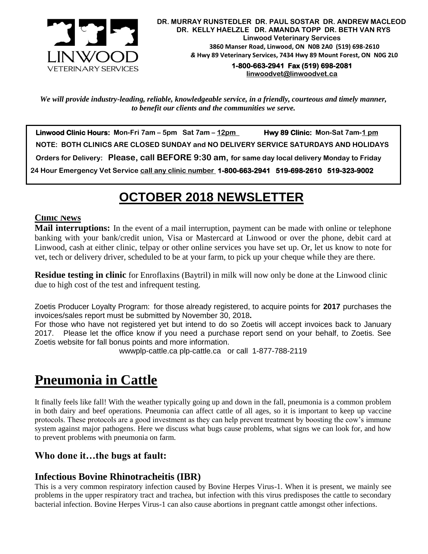

**1-800-663-2941 Fax (519) 698-2081 [linwoodvet@linwoodvet.ca](mailto:linwoodvet@linwoodvet.ca)**

*We will provide industry-leading, reliable, knowledgeable service, in a friendly, courteous and timely manner, to benefit our clients and the communities we serve.*

 **Linwood Clinic Hours: Mon-Fri 7am – 5pm Sat 7am – 12pm Hwy 89 Clinic: Mon-Sat 7am-1 pm NOTE: BOTH CLINICS ARE CLOSED SUNDAY and NO DELIVERY SERVICE SATURDAYS AND HOLIDAYS Orders for Delivery: Please, call BEFORE 9:30 am, for same day local delivery Monday to Friday 24 Hour Emergency Vet Service call any clinic number 1-800-663-2941 519-698-2610 519-323-9002**

# *!* **OCTOBER 2018 NEWSLETTER**

#### **Clinic News**

**Mail interruptions:** In the event of a mail interruption, payment can be made with online or telephone banking with your bank/credit union, Visa or Mastercard at Linwood or over the phone, debit card at Linwood, cash at either clinic, telpay or other online services you have set up. Or, let us know to note for vet, tech or delivery driver, scheduled to be at your farm, to pick up your cheque while they are there.

**Residue testing in clinic** for Enroflaxins (Baytril) in milk will now only be done at the Linwood clinic due to high cost of the test and infrequent testing.

Zoetis Producer Loyalty Program: for those already registered, to acquire points for **2017** purchases the invoices/sales report must be submitted by November 30, 2018**.**

For those who have not registered yet but intend to do so Zoetis will accept invoices back to January 2017. Please let the office know if you need a purchase report send on your behalf, to Zoetis. See Zoetis website for fall bonus points and more information.

wwwplp-cattle.ca plp-cattle.ca or call 1-877-788-2119

# **Pneumonia in Cattle**

It finally feels like fall! With the weather typically going up and down in the fall, pneumonia is a common problem in both dairy and beef operations. Pneumonia can affect cattle of all ages, so it is important to keep up vaccine protocols. These protocols are a good investment as they can help prevent treatment by boosting the cow's immune system against major pathogens. Here we discuss what bugs cause problems, what signs we can look for, and how to prevent problems with pneumonia on farm.

## **Who done it…the bugs at fault:**

## **Infectious Bovine Rhinotracheitis (IBR)**

This is a very common respiratory infection caused by Bovine Herpes Virus-1. When it is present, we mainly see problems in the upper respiratory tract and trachea, but infection with this virus predisposes the cattle to secondary bacterial infection. Bovine Herpes Virus-1 can also cause abortions in pregnant cattle amongst other infections.